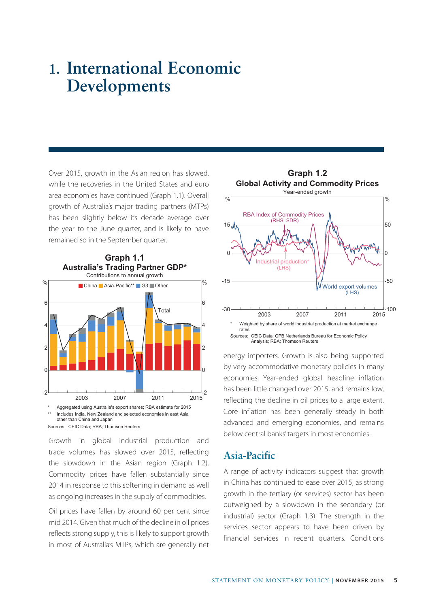# **1. International Economic Developments**

Over 2015, growth in the Asian region has slowed, while the recoveries in the United States and euro area economies have continued (Graph 1.1). Overall growth of Australia's major trading partners (MTPs) has been slightly below its decade average over the year to the June quarter, and is likely to have remained so in the September quarter.



Growth in global industrial production and trade volumes has slowed over 2015, reflecting the slowdown in the Asian region (Graph 1.2). Commodity prices have fallen substantially since 2014 in response to this softening in demand as well as ongoing increases in the supply of commodities.

Oil prices have fallen by around 60 per cent since mid 2014. Given that much of the decline in oil prices reflects strong supply, this is likely to support growth in most of Australia's MTPs, which are generally net



energy importers. Growth is also being supported by very accommodative monetary policies in many economies. Year-ended global headline inflation has been little changed over 2015, and remains low, reflecting the decline in oil prices to a large extent. Core inflation has been generally steady in both advanced and emerging economies, and remains below central banks' targets in most economies.

## **Asia-Pacific**

A range of activity indicators suggest that growth in China has continued to ease over 2015, as strong growth in the tertiary (or services) sector has been outweighed by a slowdown in the secondary (or industrial) sector (Graph 1.3). The strength in the services sector appears to have been driven by financial services in recent quarters. Conditions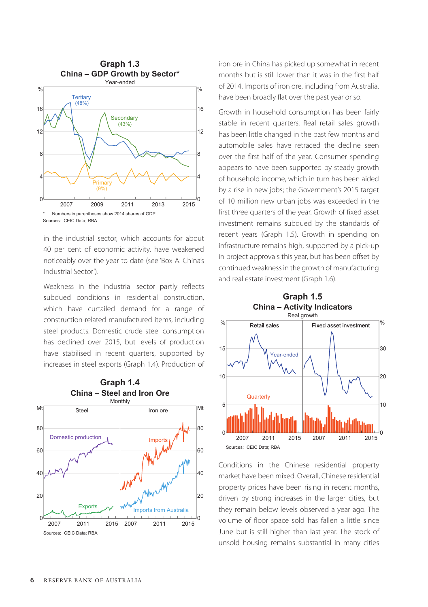

in the industrial sector, which accounts for about 40 per cent of economic activity, have weakened noticeably over the year to date (see 'Box A: China's Industrial Sector').

Weakness in the industrial sector partly reflects subdued conditions in residential construction, which have curtailed demand for a range of construction-related manufactured items, including steel products. Domestic crude steel consumption has declined over 2015, but levels of production have stabilised in recent quarters, supported by increases in steel exports (Graph 1.4). Production of



iron ore in China has picked up somewhat in recent months but is still lower than it was in the first half of 2014. Imports of iron ore, including from Australia, have been broadly flat over the past year or so.

Growth in household consumption has been fairly stable in recent quarters. Real retail sales growth has been little changed in the past few months and automobile sales have retraced the decline seen over the first half of the year. Consumer spending appears to have been supported by steady growth of household income, which in turn has been aided by a rise in new jobs; the Government's 2015 target of 10 million new urban jobs was exceeded in the first three quarters of the year. Growth of fixed asset investment remains subdued by the standards of recent years (Graph 1.5). Growth in spending on infrastructure remains high, supported by a pick-up in project approvals this year, but has been offset by continued weakness in the growth of manufacturing and real estate investment (Graph 1.6).



Conditions in the Chinese residential property market have been mixed. Overall, Chinese residential property prices have been rising in recent months, driven by strong increases in the larger cities, but they remain below levels observed a year ago. The volume of floor space sold has fallen a little since June but is still higher than last year. The stock of unsold housing remains substantial in many cities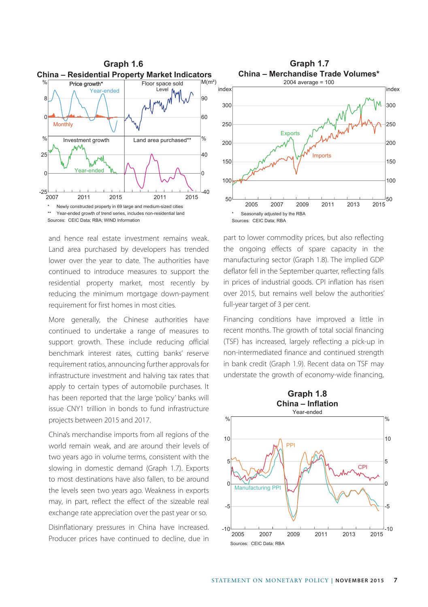

and hence real estate investment remains weak. Land area purchased by developers has trended lower over the year to date. The authorities have continued to introduce measures to support the residential property market, most recently by reducing the minimum mortgage down-payment requirement for first homes in most cities.

More generally, the Chinese authorities have continued to undertake a range of measures to support growth. These include reducing official benchmark interest rates, cutting banks' reserve requirement ratios, announcing further approvals for infrastructure investment and halving tax rates that apply to certain types of automobile purchases. It has been reported that the large 'policy' banks will issue CNY1 trillion in bonds to fund infrastructure projects between 2015 and 2017.

China's merchandise imports from all regions of the world remain weak, and are around their levels of two years ago in volume terms, consistent with the slowing in domestic demand (Graph 1.7). Exports to most destinations have also fallen, to be around the levels seen two years ago. Weakness in exports may, in part, reflect the effect of the sizeable real exchange rate appreciation over the past year or so.

Disinflationary pressures in China have increased. Producer prices have continued to decline, due in



part to lower commodity prices, but also reflecting the ongoing effects of spare capacity in the manufacturing sector (Graph 1.8). The implied GDP deflator fell in the September quarter, reflecting falls in prices of industrial goods. CPI inflation has risen over 2015, but remains well below the authorities' full-year target of 3 per cent.

Financing conditions have improved a little in recent months. The growth of total social financing (TSF) has increased, largely reflecting a pick-up in non-intermediated finance and continued strength in bank credit (Graph 1.9). Recent data on TSF may understate the growth of economy-wide financing,

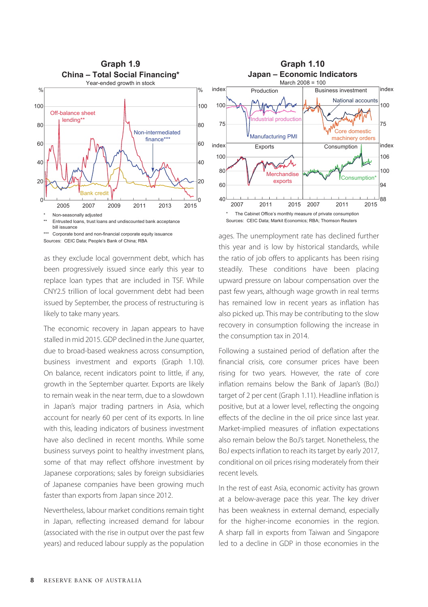

as they exclude local government debt, which has been progressively issued since early this year to replace loan types that are included in TSF. While CNY2.5 trillion of local government debt had been issued by September, the process of restructuring is likely to take many years.

The economic recovery in Japan appears to have stalled in mid 2015. GDP declined in the June quarter, due to broad-based weakness across consumption, business investment and exports (Graph 1.10). On balance, recent indicators point to little, if any, growth in the September quarter. Exports are likely to remain weak in the near term, due to a slowdown in Japan's major trading partners in Asia, which account for nearly 60 per cent of its exports. In line with this, leading indicators of business investment have also declined in recent months. While some business surveys point to healthy investment plans, some of that may reflect offshore investment by Japanese corporations; sales by foreign subsidiaries of Japanese companies have been growing much faster than exports from Japan since 2012.

Nevertheless, labour market conditions remain tight in Japan, reflecting increased demand for labour (associated with the rise in output over the past few years) and reduced labour supply as the population



ages. The unemployment rate has declined further this year and is low by historical standards, while the ratio of job offers to applicants has been rising steadily. These conditions have been placing upward pressure on labour compensation over the past few years, although wage growth in real terms has remained low in recent years as inflation has also picked up. This may be contributing to the slow recovery in consumption following the increase in the consumption tax in 2014.

Following a sustained period of deflation after the financial crisis, core consumer prices have been rising for two years. However, the rate of core inflation remains below the Bank of Japan's (BoJ) target of 2 per cent (Graph 1.11). Headline inflation is positive, but at a lower level, reflecting the ongoing effects of the decline in the oil price since last year. Market-implied measures of inflation expectations also remain below the BoJ's target. Nonetheless, the BoJ expects inflation to reach its target by early 2017, conditional on oil prices rising moderately from their recent levels.

In the rest of east Asia, economic activity has grown at a below-average pace this year. The key driver has been weakness in external demand, especially for the higher-income economies in the region. A sharp fall in exports from Taiwan and Singapore led to a decline in GDP in those economies in the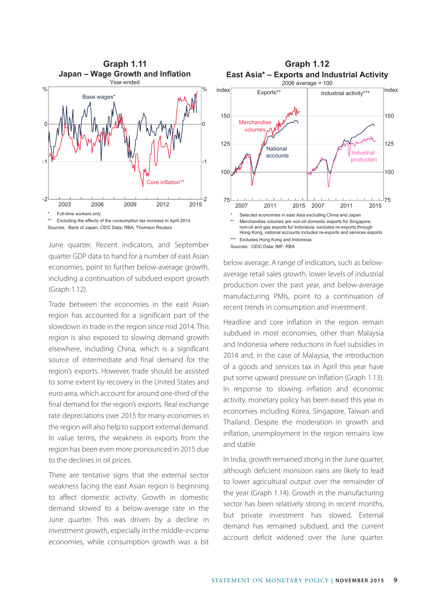

\*\* Excluding the effects of the consumption tax increase in April 2014 Sources: Bank of Japan; CEIC Data; RBA; Thomson Reuters

June quarter. Recent indicators, and September quarter GDP data to hand for a number of east Asian economies, point to further below-average growth, including a continuation of subdued export growth (Graph 1.12).

Trade between the economies in the east Asian region has accounted for a significant part of the slowdown in trade in the region since mid 2014. This region is also exposed to slowing demand growth elsewhere, including China, which is a significant source of intermediate and final demand for the region's exports. However, trade should be assisted to some extent by recovery in the United States and euro area, which account for around one-third of the final demand for the region's exports. Real exchange rate depreciations over 2015 for many economies in the region will also help to support external demand. In value terms, the weakness in exports from the region has been even more pronounced in 2015 due to the declines in oil prices.

There are tentative signs that the external sector weakness facing the east Asian region is beginning to affect domestic activity. Growth in domestic demand slowed to a below-average rate in the June quarter. This was driven by a decline in investment growth, especially in the middle-income economies, while consumption growth was a bit



below average. A range of indicators, such as belowaverage retail sales growth, lower levels of industrial production over the past year, and below-average manufacturing PMIs, point to a continuation of recent trends in consumption and investment.

Headline and core inflation in the region remain subdued in most economies, other than Malaysia and Indonesia where reductions in fuel subsidies in 2014 and, in the case of Malaysia, the introduction of a goods and services tax in April this year have put some upward pressure on inflation (Graph 1.13). In response to slowing inflation and economic activity, monetary policy has been eased this year in economies including Korea, Singapore, Taiwan and Thailand. Despite the moderation in growth and inflation, unemployment in the region remains low and stable.

In India, growth remained strong in the June quarter, although deficient monsoon rains are likely to lead to lower agricultural output over the remainder of the year (Graph 1.14). Growth in the manufacturing sector has been relatively strong in recent months, but private investment has slowed. External demand has remained subdued, and the current account deficit widened over the June quarter.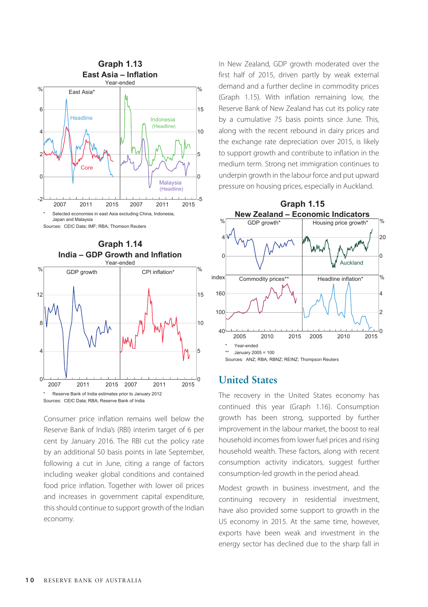

Sources: CEIC Data; IMF; RBA; Thomson Reuters



Consumer price inflation remains well below the Reserve Bank of India's (RBI) interim target of 6 per cent by January 2016. The RBI cut the policy rate by an additional 50 basis points in late September, following a cut in June, citing a range of factors including weaker global conditions and contained food price inflation. Together with lower oil prices and increases in government capital expenditure, this should continue to support growth of the Indian economy.

In New Zealand, GDP growth moderated over the first half of 2015, driven partly by weak external demand and a further decline in commodity prices (Graph 1.15). With inflation remaining low, the Reserve Bank of New Zealand has cut its policy rate by a cumulative 75 basis points since June. This, along with the recent rebound in dairy prices and the exchange rate depreciation over 2015, is likely to support growth and contribute to inflation in the medium term. Strong net immigration continues to underpin growth in the labour force and put upward pressure on housing prices, especially in Auckland.



## **United States**

The recovery in the United States economy has continued this year (Graph 1.16). Consumption growth has been strong, supported by further improvement in the labour market, the boost to real household incomes from lower fuel prices and rising household wealth. These factors, along with recent consumption activity indicators, suggest further consumption-led growth in the period ahead.

Modest growth in business investment, and the continuing recovery in residential investment, have also provided some support to growth in the US economy in 2015. At the same time, however, exports have been weak and investment in the energy sector has declined due to the sharp fall in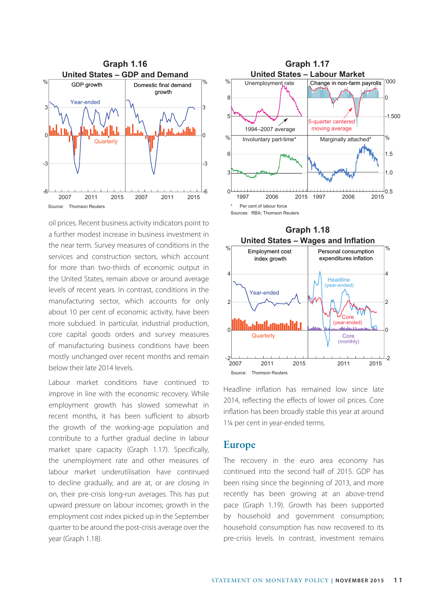

oil prices. Recent business activity indicators point to a further modest increase in business investment in the near term. Survey measures of conditions in the services and construction sectors, which account for more than two-thirds of economic output in the United States, remain above or around average levels of recent years. In contrast, conditions in the manufacturing sector, which accounts for only about 10 per cent of economic activity, have been more subdued. In particular, industrial production, core capital goods orders and survey measures of manufacturing business conditions have been mostly unchanged over recent months and remain below their late 2014 levels.

Labour market conditions have continued to improve in line with the economic recovery. While employment growth has slowed somewhat in recent months, it has been sufficient to absorb the growth of the working-age population and contribute to a further gradual decline in labour market spare capacity (Graph 1.17). Specifically, the unemployment rate and other measures of labour market underutilisation have continued to decline gradually, and are at, or are closing in on, their pre-crisis long-run averages. This has put upward pressure on labour incomes; growth in the employment cost index picked up in the September quarter to be around the post-crisis average over the year (Graph 1.18).





Headline inflation has remained low since late 2014, reflecting the effects of lower oil prices. Core inflation has been broadly stable this year at around 1¼ per cent in year-ended terms.

#### **Europe**

The recovery in the euro area economy has continued into the second half of 2015. GDP has been rising since the beginning of 2013, and more recently has been growing at an above-trend pace (Graph 1.19). Growth has been supported by household and government consumption; household consumption has now recovered to its pre-crisis levels. In contrast, investment remains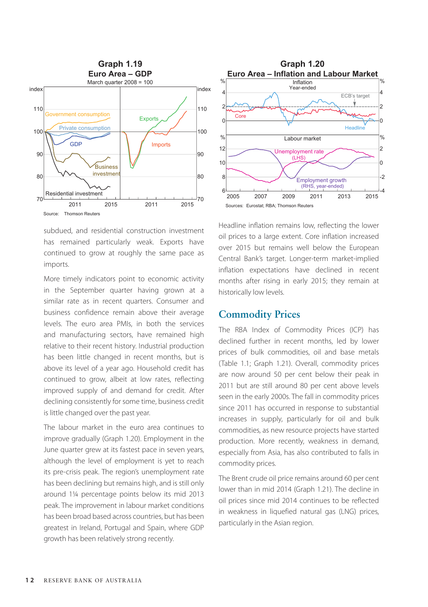

subdued, and residential construction investment has remained particularly weak. Exports have continued to grow at roughly the same pace as imports.

More timely indicators point to economic activity in the September quarter having grown at a similar rate as in recent quarters. Consumer and business confidence remain above their average levels. The euro area PMIs, in both the services and manufacturing sectors, have remained high relative to their recent history. Industrial production has been little changed in recent months, but is above its level of a year ago. Household credit has continued to grow, albeit at low rates, reflecting improved supply of and demand for credit. After declining consistently for some time, business credit is little changed over the past year.

The labour market in the euro area continues to improve gradually (Graph 1.20). Employment in the June quarter grew at its fastest pace in seven years, although the level of employment is yet to reach its pre-crisis peak. The region's unemployment rate has been declining but remains high, and is still only around 1¼ percentage points below its mid 2013 peak. The improvement in labour market conditions has been broad based across countries, but has been greatest in Ireland, Portugal and Spain, where GDP growth has been relatively strong recently.



Headline inflation remains low, reflecting the lower oil prices to a large extent. Core inflation increased over 2015 but remains well below the European Central Bank's target. Longer-term market-implied inflation expectations have declined in recent months after rising in early 2015; they remain at historically low levels.

### **Commodity Prices**

The RBA Index of Commodity Prices (ICP) has declined further in recent months, led by lower prices of bulk commodities, oil and base metals (Table 1.1; Graph 1.21). Overall, commodity prices are now around 50 per cent below their peak in 2011 but are still around 80 per cent above levels seen in the early 2000s. The fall in commodity prices since 2011 has occurred in response to substantial increases in supply, particularly for oil and bulk commodities, as new resource projects have started production. More recently, weakness in demand, especially from Asia, has also contributed to falls in commodity prices.

The Brent crude oil price remains around 60 per cent lower than in mid 2014 (Graph 1.21). The decline in oil prices since mid 2014 continues to be reflected in weakness in liquefied natural gas (LNG) prices, particularly in the Asian region.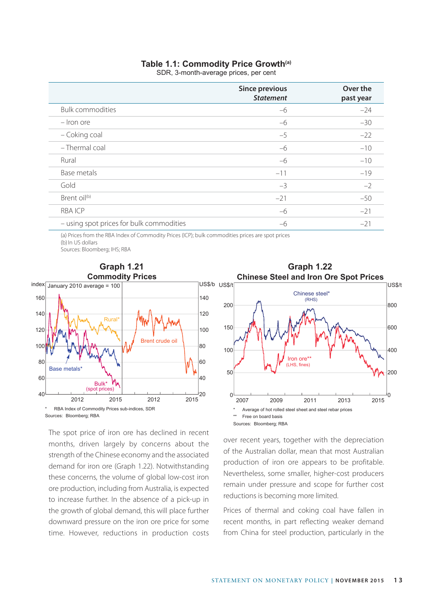#### **Table 1.1: Commodity Price Growth(a)**

SDR, 3-month-average prices, per cent

|                                                                                                                 | <b>Since previous</b><br><b>Statement</b> | Over the<br>past year |
|-----------------------------------------------------------------------------------------------------------------|-------------------------------------------|-----------------------|
| <b>Bulk commodities</b>                                                                                         | $-6$                                      | $-24$                 |
| - Iron ore                                                                                                      | $-6$                                      | $-30$                 |
| - Coking coal                                                                                                   | $-5$                                      | $-22$                 |
| - Thermal coal                                                                                                  | $-6$                                      | $-10$                 |
| Rural                                                                                                           | $-6$                                      | $-10$                 |
| Base metals                                                                                                     | $-11$                                     | $-19$                 |
| Gold                                                                                                            | $-3$                                      | $-2$                  |
| Brent oil <sup>(b)</sup>                                                                                        | $-21$                                     | $-50$                 |
| <b>RBAICP</b>                                                                                                   | $-6$                                      | $-21$                 |
| - using spot prices for bulk commodities                                                                        | $-6$                                      | $-21$                 |
| 2008년 - 대한민국의 대한민국의 대한민국의 대한민국의 대한민국의 대한민국의 대한민국의 대한민국의 대한민국의 대한민국의 대한민국의 대한민국의 대한민국의 대한민국의 대한민국의 대한민국의 대한민국의 대 |                                           |                       |

(a) Prices from the RBA Index of Commodity Prices (ICP); bulk commodities prices are spot prices (b) In US dollars Sources: Bloomberg; IHS; RBA



The spot price of iron ore has declined in recent months, driven largely by concerns about the strength of the Chinese economy and the associated demand for iron ore (Graph 1.22). Notwithstanding these concerns, the volume of global low-cost iron ore production, including from Australia, is expected to increase further. In the absence of a pick-up in the growth of global demand, this will place further downward pressure on the iron ore price for some time. However, reductions in production costs



over recent years, together with the depreciation of the Australian dollar, mean that most Australian production of iron ore appears to be profitable. Nevertheless, some smaller, higher-cost producers remain under pressure and scope for further cost reductions is becoming more limited.

Prices of thermal and coking coal have fallen in recent months, in part reflecting weaker demand from China for steel production, particularly in the